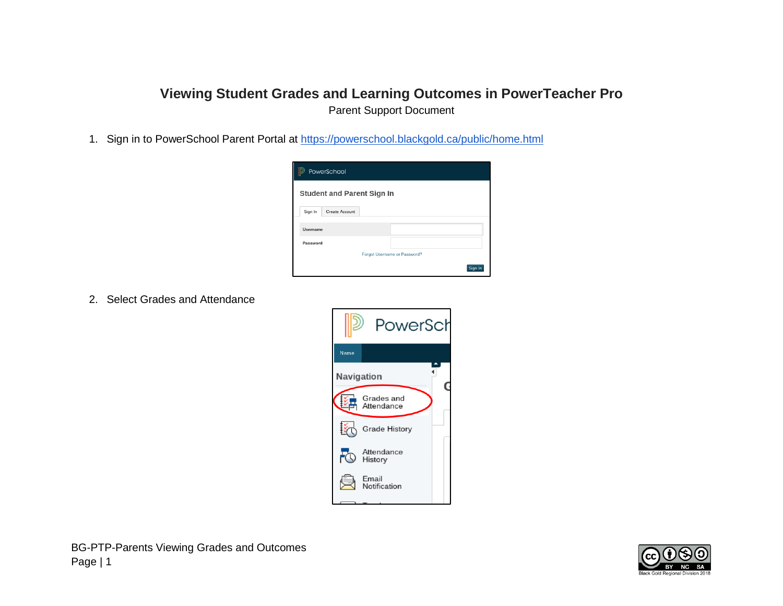## **Viewing Student Grades and Learning Outcomes in PowerTeacher Pro** Parent Support Document

1. Sign in to PowerSchool Parent Portal at<https://powerschool.blackgold.ca/public/home.html>

| PowerSchool                       |                |  |                              |  |         |  |  |  |  |  |
|-----------------------------------|----------------|--|------------------------------|--|---------|--|--|--|--|--|
| <b>Student and Parent Sign In</b> |                |  |                              |  |         |  |  |  |  |  |
| Sign In                           | Create Account |  |                              |  |         |  |  |  |  |  |
| Usemame                           |                |  |                              |  |         |  |  |  |  |  |
| Password                          |                |  |                              |  |         |  |  |  |  |  |
|                                   |                |  | Forgot Username or Password? |  |         |  |  |  |  |  |
|                                   |                |  |                              |  | Sign In |  |  |  |  |  |

2. Select Grades and Attendance



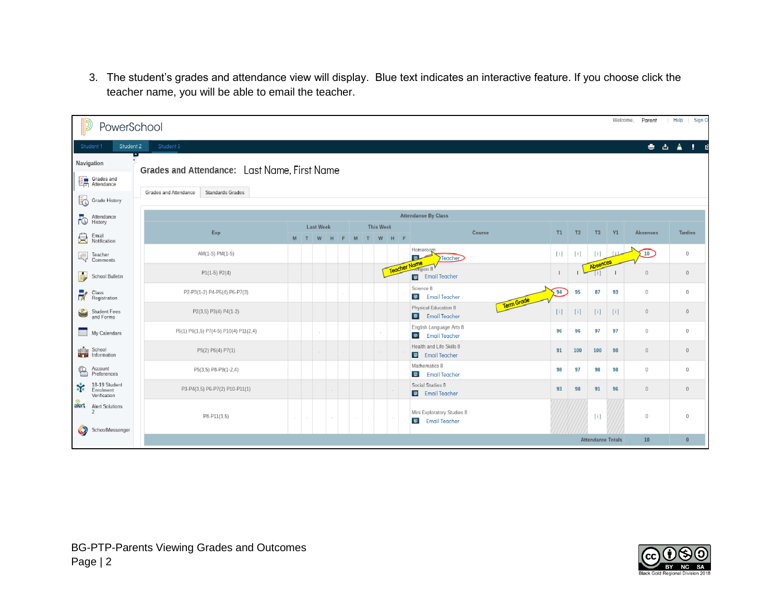3. The student's grades and attendance view will display. Blue text indicates an interactive feature. If you choose click the teacher name, you will be able to email the teacher.

| Welcome.<br>Help<br>Sign O<br>Parent<br>PowerSchool     |                                            |                                              |                  |     |   |       |  |  |                  |         |                                                              |     |                |                          |     |                                       |                |
|---------------------------------------------------------|--------------------------------------------|----------------------------------------------|------------------|-----|---|-------|--|--|------------------|---------|--------------------------------------------------------------|-----|----------------|--------------------------|-----|---------------------------------------|----------------|
| Student 3<br><b>要占金工</b><br>Student 2<br>Student 1<br>B |                                            |                                              |                  |     |   |       |  |  |                  |         |                                                              |     |                |                          |     |                                       |                |
|                                                         | Navigation                                 |                                              |                  |     |   |       |  |  |                  |         |                                                              |     |                |                          |     |                                       |                |
|                                                         | Grades and                                 | Grades and Attendance: Last Name, First Name |                  |     |   |       |  |  |                  |         |                                                              |     |                |                          |     |                                       |                |
|                                                         | Grade History                              | Standards Grades<br>Grades and Attendance    |                  |     |   |       |  |  |                  |         |                                                              |     |                |                          |     |                                       |                |
| ٢Ō                                                      | Attendance<br>History                      | <b>Attendance By Class</b>                   |                  |     |   |       |  |  |                  |         |                                                              |     |                |                          |     |                                       |                |
|                                                         |                                            | Exp                                          | <b>Last Week</b> |     |   |       |  |  | <b>This Week</b> |         | Course                                                       | T1  | T <sub>2</sub> | T <sub>3</sub>           | Y1  | Absences                              | <b>Tardies</b> |
| 負                                                       | Email<br>Notification                      |                                              |                  | M T | W | H F M |  |  |                  | T W H F |                                                              |     |                |                          |     |                                       |                |
| Ę                                                       | Teacher<br>Comments                        | AM(1-5) PM(1-5)                              |                  |     |   |       |  |  |                  |         | Homeroc<br>$\blacksquare$<br>Teacher                         | [1] | [i]            | [i]<br>Absences          |     | 10                                    | $\circ$        |
| ÷                                                       | School Bulletin                            | $P1(1-5) P2(4)$                              |                  |     |   |       |  |  |                  |         | Teacher Name<br>$ \frac{1}{2}$<br><b>Email Teacher</b>       |     |                | U).                      |     | $\begin{array}{c} 0 \end{array}$      | $\mathbf{0}$   |
| FX                                                      | Class<br>Registration                      | P2-P3(1-2) P4-P5(4) P6-P7(3)                 |                  |     |   |       |  |  |                  |         | Science 8<br><b>B</b> Email Teacher                          | 94  | 95             | 87                       | 93  | $\circ$                               | 0              |
| €                                                       | Student Fees<br>and Forms                  | P2(3,5) P3(4) P4(1-2)                        |                  |     |   |       |  |  |                  |         | Term Grade<br>Physical Education 8<br><b>B</b> Email Teacher | [i] | [i]            | [i]                      | [i] | $\sqrt{0}$                            | $\overline{0}$ |
|                                                         | My Calendars                               | P5(1) P6(1,5) P7(4-5) P10(4) P11(2,4)        |                  |     |   |       |  |  |                  |         | English Language Arts 8<br><b>B</b> Email Teacher            | 96  | 96             | 97                       | 97  | $\begin{array}{c} 0 \\ 0 \end{array}$ | $\Omega$       |
| 晒                                                       | School<br>Information                      | P5(2) P6(4) P7(1)                            |                  |     |   |       |  |  |                  |         | Health and Life Skills 8<br>E Email Teacher                  | 91  | 100            | 100                      | 98  | $\circ$                               | $\circ$        |
| ≌                                                       | Account<br>Preferences                     | P5(3,5) P8-P9(1-2,4)                         |                  |     |   |       |  |  |                  |         | Mathematics 8<br>Email Teacher                               | 98  | 97             | 98                       | 98  | $\mathbb O$                           | $\bf{0}$       |
| *                                                       | 18-19 Student<br>Enrolment<br>Verification | P3-P4(3,5) P6-P7(2) P10-P11(1)               |                  |     |   |       |  |  |                  |         | Social Studies 8<br>Email Teacher                            | 93  | 98             | 91                       | 96  | $\begin{array}{c} 0 \end{array}$      | $\bf{0}$       |
| $\bullet$                                               | alert Alert Solutions<br>SchoolMessenger   | P8-P11(3,5)                                  | $\sim$           |     |   |       |  |  |                  |         | Mini Exploratory Studies 8<br><b>B</b> Email Teacher         |     |                | $[1]$                    |     | $\circ$                               | $\Omega$       |
|                                                         |                                            |                                              |                  |     |   |       |  |  |                  |         |                                                              |     |                | <b>Attendance Totals</b> |     | 10 <sub>10</sub>                      | $\mathbf{0}$   |

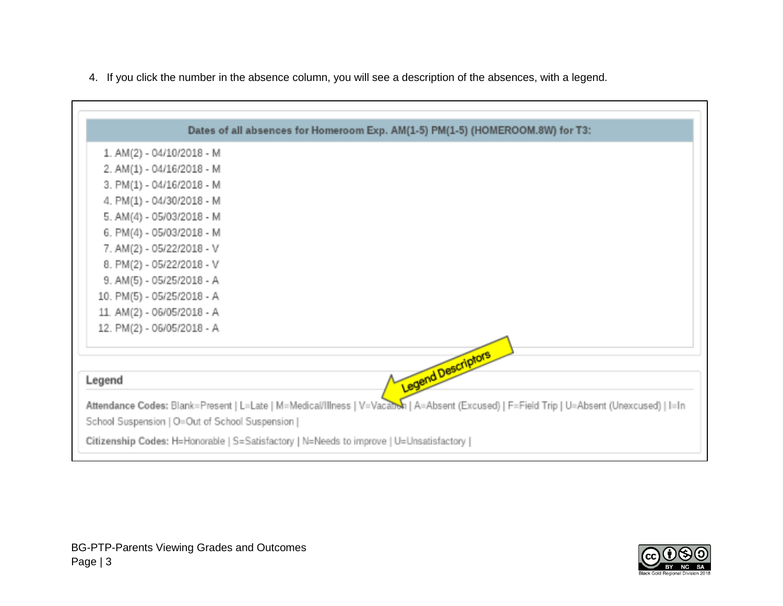

4. If you click the number in the absence column, you will see a description of the absences, with a legend.

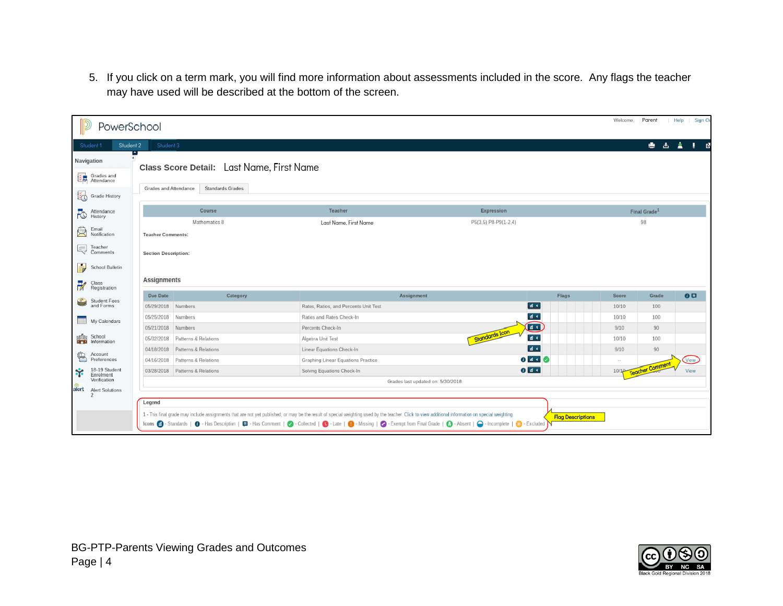5. If you click on a term mark, you will find more information about assessments included in the score. Any flags the teacher may have used will be described at the bottom of the screen.

| PowerSchool                                                     |                                                                                        |                                 |                                       |                                                                                                                                                                                                    |                          | Welcome, | Parent                   | Sign Or<br>Help |  |  |
|-----------------------------------------------------------------|----------------------------------------------------------------------------------------|---------------------------------|---------------------------------------|----------------------------------------------------------------------------------------------------------------------------------------------------------------------------------------------------|--------------------------|----------|--------------------------|-----------------|--|--|
| Student 2<br>Student 1                                          | Student 3                                                                              |                                 |                                       |                                                                                                                                                                                                    |                          |          | 西盘<br>٠                  | <b>I</b> .<br>國 |  |  |
| Navigation                                                      |                                                                                        |                                 |                                       |                                                                                                                                                                                                    |                          |          |                          |                 |  |  |
| Grades and                                                      | Class Score Detail: Last Name, First Name<br>Standards Grades<br>Grades and Attendance |                                 |                                       |                                                                                                                                                                                                    |                          |          |                          |                 |  |  |
| Grade History                                                   |                                                                                        |                                 |                                       |                                                                                                                                                                                                    |                          |          |                          |                 |  |  |
| Attendance<br>Attenda<br>History                                |                                                                                        | Course                          | Teacher                               | Expression                                                                                                                                                                                         |                          |          | Final Grade <sup>1</sup> |                 |  |  |
|                                                                 |                                                                                        | Mathematics 8                   | Last Name, First Name                 | P5(3,5) P8-P9(1-2,4)                                                                                                                                                                               |                          | 98       |                          |                 |  |  |
| Email<br>Email<br>Notification                                  | <b>Teacher Comments:</b>                                                               |                                 |                                       |                                                                                                                                                                                                    |                          |          |                          |                 |  |  |
| Comments                                                        | <b>Section Description:</b>                                                            |                                 |                                       |                                                                                                                                                                                                    |                          |          |                          |                 |  |  |
| ÷,<br>School Bulletin                                           |                                                                                        |                                 |                                       |                                                                                                                                                                                                    |                          |          |                          |                 |  |  |
| Class<br>Registration                                           | Assignments                                                                            |                                 |                                       |                                                                                                                                                                                                    |                          |          |                          |                 |  |  |
| Student Fees<br>and Forms<br>S                                  | Due Date                                                                               | Category                        |                                       | Assignment                                                                                                                                                                                         | Flags                    | Score    | Grade                    | 0 <sup>5</sup>  |  |  |
|                                                                 | 05/29/2018 Numbers                                                                     |                                 | Rates, Ratios, and Percents Unit Test |                                                                                                                                                                                                    | $\blacksquare$           | 10/10    | 100                      |                 |  |  |
| My Calendars                                                    | 05/25/2018 Numbers                                                                     |                                 | Ratios and Rates Check-In             |                                                                                                                                                                                                    | $d$ <                    | 10/10    | 100                      |                 |  |  |
|                                                                 | 05/21/2018 Numbers                                                                     |                                 | Percents Check-In                     | Standards Icon                                                                                                                                                                                     | $\bf \bm \odot$          | 9/10     | 90                       |                 |  |  |
| School<br>ந்தே School<br><b>ப<mark>ுரி</mark>ப்</b> Information |                                                                                        | 05/02/2018 Patterns & Relations | Algebra Unit Test                     |                                                                                                                                                                                                    | $d$ +                    | 10/10    | 100                      |                 |  |  |
| €<br>Account                                                    |                                                                                        | 04/18/2018 Patterns & Relations | Linear Equations Check-In             |                                                                                                                                                                                                    | $d +$                    | 9/10     | 90                       |                 |  |  |
| Preferences<br>18-19 Student                                    |                                                                                        | 04/16/2018 Patterns & Relations |                                       | $\overline{\textbf{0}}$ and $\overline{\textbf{0}}$<br>Graphing Linear Equations Practice<br>0 <sub>1</sub>                                                                                        |                          |          |                          | View            |  |  |
| *<br>Enrolment<br>Verification                                  |                                                                                        | 03/28/2018 Patterns & Relations | Solving Equations Check-In            |                                                                                                                                                                                                    |                          | 10/10    | <b>Teacher Comment</b>   | View            |  |  |
| alert<br>Alert Solutions                                        |                                                                                        |                                 |                                       | Grades last updated on: 5/30/2018                                                                                                                                                                  |                          |          |                          |                 |  |  |
|                                                                 | Legend                                                                                 |                                 |                                       |                                                                                                                                                                                                    |                          |          |                          |                 |  |  |
|                                                                 |                                                                                        |                                 |                                       | 1 - This final grade may include assignments that are not yet published, or may be the result of special weighting used by the teacher. Click to view additional information on special weighting. |                          |          |                          |                 |  |  |
|                                                                 |                                                                                        |                                 |                                       | Icons @ - Standards   @ - Has Description   @ - Has Comment   @ - Collected   @ - Late   @ - Missing   @ - Exempt from Final Grade   @ - Absent   @ - Incomplete   @ - Excluded                    | <b>Flag Descriptions</b> |          |                          |                 |  |  |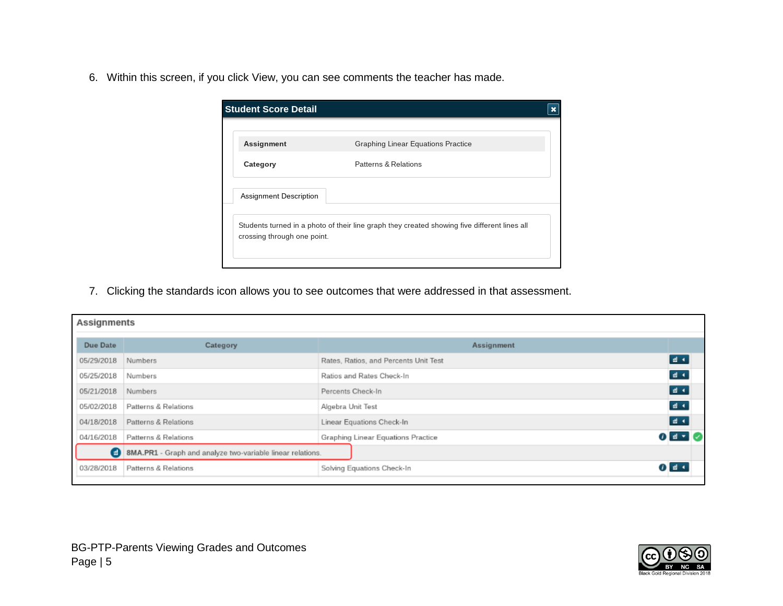6. Within this screen, if you click View, you can see comments the teacher has made.

| Patterns & Relations<br>Category | Assignment             | Graphing Linear Equations Practice |
|----------------------------------|------------------------|------------------------------------|
|                                  |                        |                                    |
|                                  | Assignment Description |                                    |

7. Clicking the standards icon allows you to see outcomes that were addressed in that assessment.

| Assignments |                                                            |                                       |                               |  |  |  |  |  |
|-------------|------------------------------------------------------------|---------------------------------------|-------------------------------|--|--|--|--|--|
| Due Date    | Category                                                   | Assignment                            |                               |  |  |  |  |  |
| 05/29/2018  | Numbers                                                    | Rates, Ratios, and Percents Unit Test | $d \leftarrow$                |  |  |  |  |  |
| 05/25/2018  | Numbers                                                    | Ratios and Rates Check-In             | $22 - 4$                      |  |  |  |  |  |
| 05/21/2018  | Numbers                                                    | Percents Check-In                     | $d$ +                         |  |  |  |  |  |
| 05/02/2018  | Patterns & Relations                                       | Algebra Unit Test                     | $d +$                         |  |  |  |  |  |
| 04/18/2018  | Patterns & Relations                                       | Linear Equations Check-In             | 徳 玉                           |  |  |  |  |  |
| 04/16/2018  | Patterns & Relations                                       | Graphing Linear Equations Practice    | $\mathbf{0}$ and $\mathbf{0}$ |  |  |  |  |  |
| Θ           | 8MA.PR1 - Graph and analyze two-variable linear relations. |                                       |                               |  |  |  |  |  |
| 03/28/2018  | Patterns & Relations                                       | Solving Equations Check-In            | 71 d -                        |  |  |  |  |  |